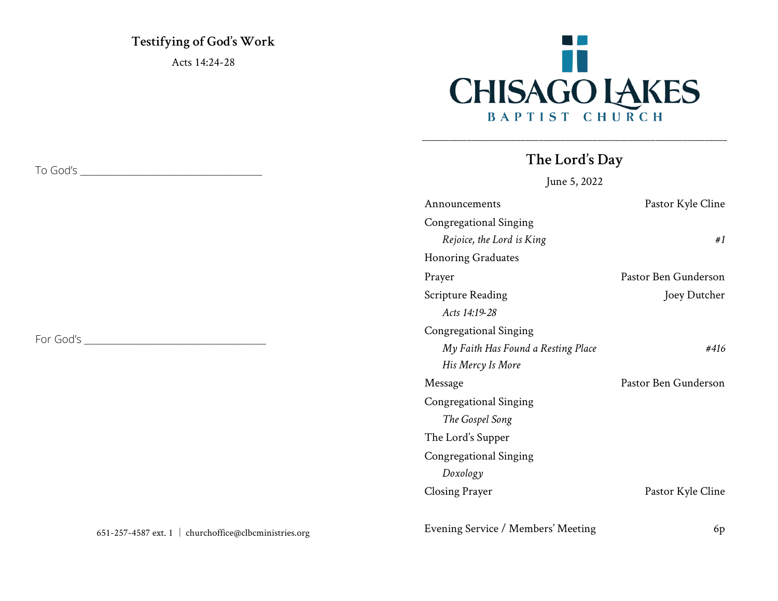**Testifying of God's Work** Acts 14:24-28



### **The Lord's Day**

\_\_\_\_\_\_\_\_\_\_\_\_\_\_\_\_\_\_\_\_\_\_\_\_\_\_\_\_\_\_\_\_\_\_\_\_\_\_\_\_\_\_\_\_\_\_\_\_\_\_\_\_\_\_\_\_\_\_\_\_\_\_\_\_\_\_\_\_

June 5, 2022

| Announcements                      | Pastor Kyle Cline    |
|------------------------------------|----------------------|
| Congregational Singing             |                      |
| Rejoice, the Lord is King          | #1                   |
| <b>Honoring Graduates</b>          |                      |
| Prayer                             | Pastor Ben Gunderson |
| <b>Scripture Reading</b>           | Joey Dutcher         |
| Acts 14:19-28                      |                      |
| Congregational Singing             |                      |
| My Faith Has Found a Resting Place | #416                 |
| His Mercy Is More                  |                      |
| Message                            | Pastor Ben Gunderson |
| Congregational Singing             |                      |
| The Gospel Song                    |                      |
| The Lord's Supper                  |                      |
| Congregational Singing             |                      |
| Doxology                           |                      |
| <b>Closing Prayer</b>              | Pastor Kyle Cline    |

Evening Service / Members' Meeting 6p

To God's \_\_\_\_\_\_\_\_\_\_\_\_\_\_\_\_\_\_\_\_\_\_\_\_\_\_\_\_\_\_\_\_\_\_\_\_\_\_\_\_\_

For God's \_\_\_\_\_\_\_\_\_\_\_\_\_\_\_\_\_\_\_\_\_\_\_\_\_\_\_\_\_\_\_\_\_\_\_\_\_\_\_\_\_

|  | 651-257-4587 ext. 1   churchoffice@clbcministries.org |
|--|-------------------------------------------------------|
|--|-------------------------------------------------------|